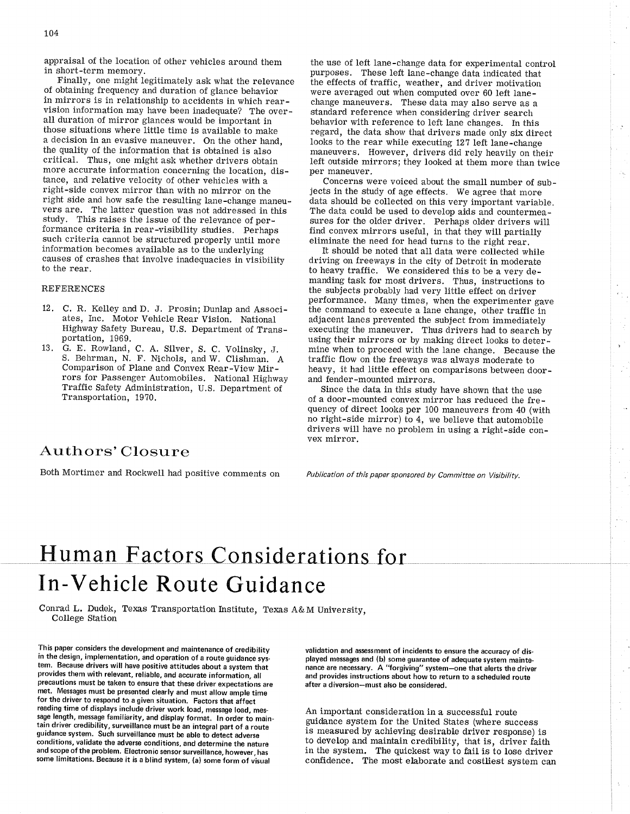appraisal of the location of other vehicles around them in short-term memory,

Finally, one might legitimately ask what the relevance of obtaining frequency and duration of glance behavior in mirrors is in relationship to accidents in which rearvision information may have been inadequate? The overall duration of mirror glances would be important in those situations where little time is available to make a decision in an evasive maneuver, On the other hand, the quality of the information that is obtained is also critical. Thus, one might ask whether drivers obtain more accurate information concerning the location, distance, and relative velocity of other vehicles with a right-side convex mirror than with no mirror on the right side and how safe the resulting lane-change maneuvers are, The latter question was not addressed in this study, This raises the issue of the relevance of performance criteria in rear-visibility sfudies. perhaps such criteria cannot be structured properly until more information becomes available as to the underlying causes of crashes that involve inadequacies in visibility to the rear.

### REFERENCES

- 12. C. R. Kelley and D. J. Prosin; Dunlap and Associates, Inc. Motor Vehicle Rear Vision. National Highway Safety Bureau, U.S. Department of Transportation, 1969.
- 13. G. E. Rowland, C. A. Silver, S. C. Volinsky, J. S. Behrman, N. F. Nichols, and W. Clishman. A Comparison of Plane and Convex Rear-View Mirrors for Passenger Automobiles. National Highway Traffic Safety Administration, U.S. Department of Transportation, 19?0,

the use of left lane-change data for experimental control purposes. These left lane-change data indicated that the effects of traffic, weather, and driver motivation were averaged out when computed over 60 left lanechange maneuvers, These data may also serve as a standard reference when considering driver search behavior with reference to left lane changes. In this regard, the data show that drivers made only six direct looks to the rear while executing 127 left lane-change maneuvers. However, drivers did rely heavily on their left outside mirrors; they looked at them more than twice per maneuver,

Concerns were voiced about the small number of subjects in the study of age effects. We agree that more data should be collected on this very important variable. The data could be used to develop aids and countermeasures for the older driver. Perhaps older drivers will find convex mirrors useful, in that they will partially eliminate the need for head turns to the right rear.

It should be noted that all data were collected while driving on freeways in the city of Detroit in moderate to heavy traffic. We considered this to be a very demanding task for most drivers, Thus, instructions to the zubjects probably had very little effect on driver performance, Many times, when the experimenter gave the command to execute a lane change, other traffic in adjacent lanes prevented the subject from immediately executing the maneuver, Thus drivers had to search by using their mirrors or by making direct looks to determine when to proceed with the lane change. Because the traffic flow on the freeways was always moderate to heavy, it had little effect on comparisons between doorand fender-mounted mirrors,

Since the data in this study have shown that the use of a door-mounted convex mirror has reduced the frequency of direct looks per 100 maneuvers from 40 (with no right-side mirror) to 4, we believe that automobile drivers will have no problem in using a right-side convex mirror.

## Authors'Closure

Both Mortimer and Rockwell had positive comments on

Publication of this paper sponsored by Committee on Visibility.

# **Human Factors Considerations for** In-Vehicle Route Guidance

Conrad L. Dudek, Texas Transportation Institute, Texas A&M University, College Station

This paper considers the development and maintenance of credibility in the design, implementation, and operation of a route guidance system. Because drivers will have positive attitudes about a system that provides them with relevant, reliable, and accurate information, all precautions must be taken to ensure that these driver expectations are met. Mæsages must be presented clearly and must allow ample time for the driver to respond to a given situation. Factors that affect reading time of displays include driver work load, message load, message length, message familiarity, and display format. ln order to maintain driver credibility, surveillance must be an integral part of a route guidance system. Such surveillance must be able to detect adverse conditions, validate the adverse conditions, and determine the nature and scope of the problem. Electronic sensor surveillance, however, has some limitations. Because it is a blind system, (a) some form of visual

validation and assessment of incidents to ensure the accuracy of displayed messages and (b) some guarantee of adequate system maintenance are necessary. A "forgiving" system-one that alerts the driver and provides instructions about how to return to a scheduled route after a diversion-must also be considered.

An important consideration in a successful route guidance system for the United States (where success is measured by achieving desirable driver response) is to develop and maintain credibility, that is, driver faith in the system. The quickest way to fail is to lose driver confidence. The most elaborate and costliest system can

÷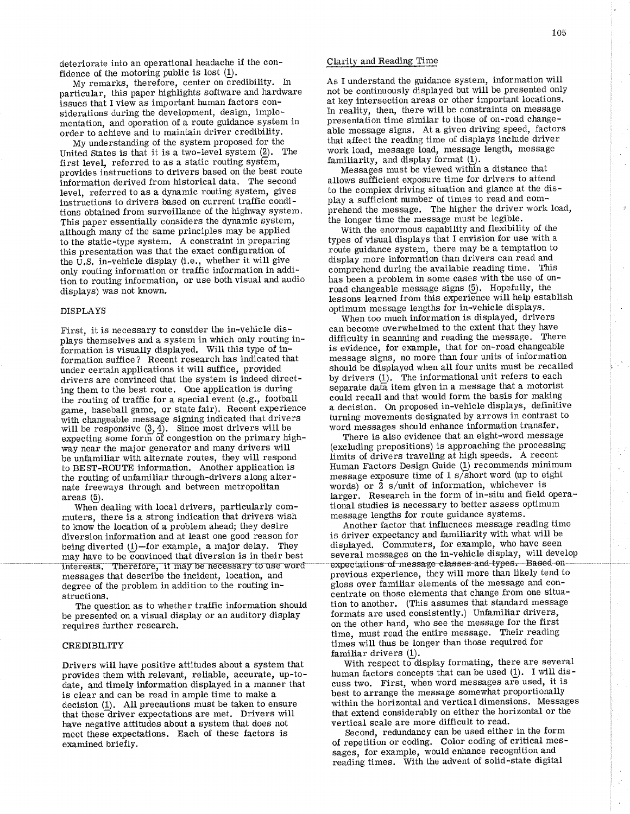deteriorate into an operational headache if the confidence of the motoring public is lost  $(1)$ .

My remarks, therefore, center on credibility. In particular, this paper highlights software and hardware issues that I view as important human factors considerations during the development, design, implementation, and operation of a route guidance system in order to achieve and to maintain driver credibility.

My understanding of the system proposed for the United States is that it is a two-level system (2). The first level, referred to as a static routing system' provides instructions to drivers based on the best route information derived from historical data. The second level, referred to as a dynamic routing system, gives instructions to drivers based on curent traffic conditions obtained from surveillance of the highway system. This paper essentially considers the dynamic system, although many of the same principles may be applied to the static-type system. A constraint in preparing this presentation was that the exact configuration of the U.S. in-vehicle display (i.e., whether it will give only routing information or traffic information in addition to routing information, or use both visual and audio displays) was not known.

#### DISPLAYS

First, it is necessary to consider the in-vehicle displays themselves and a system in which only routing iniormation is visually displayed. Will this type of information suffice? Recent research has índicated that under certain applications it will suffice, provided drivers are convinced that the system is indeed directing them to the best route. One application is during the routing of traffic for a special event (e.g., football game, baseball game, or state fair). Recent experience with changeable message signing indicated that drivers will be responsive  $(3, 4)$ . Since most drivers will be expecting some form of congestion on the primary highway near the major generator and many drivers will be unfamiliar with alternate routes, they will respond to BEST-ROUTE information. Another apptication is the routing of unfamitiar through-drivers along alternate freeways through and between metropolitan areas  $(5)$ .

When dealing with local drivers, particularly commuters, there is a strong indication that drivers wish to know the location of a problem ahead; they desire diversion information and at least one good reason for being diverted  $(1)$ -for example, a major delay. They may have to be convinced that diversion is in their best<br>interests. Therefore, it may be necessary to use word messages that describe the incident, location, and degree of the problem in addition to the routing instructions.

The question as to whether traffic information should be presented on a visual display or an auditory display requires further research.

#### CREDIBILITY

Drivers will have positive attitudes about a system that provides them with relevant, reliable, accurate, up-todate, and timely information displayed in a manner that is clear and can be read in ample tíme to make a decision  $(1)$ . All precautions must be taken to ensure that theseãriver expectations are met. Drivers will have negative attitudes about a system that does not meet these expectations. Each of these factors is examined briefly.

### Clarity and Reading fime

As I understand the guidance system, information will not be continuously displayed but will be presented only at key intersection areas or other important locations. In reality, then, there will be constraints on message presentation time similar to those of on-road changeable message signs. At a given driving speed, factors that affect the reading time of displays include driver work load, message load, message length, message familiarity, and display format  $(1)$ .

Messages must be viewed within a distance that allows sufficient exposure tíme for drivers to attend to the complex driving situation and glance at the display a sufficient number of times to read and comþrehend the message. The higher the driver work load, the longer time the message must be legibie.

With the enormous capability and flexibility of the types of visual displays that I envision for use with a route guidance system, there may be a temptation to display more information than drivers can read and comprehend during the available reading time. This has been a problem in some cases with the use of onroad changeable message signs (5). Hopefully, the lessons learned from this experience will help establish optimum message lengths for in-vehicle displays.

When too much information is displayed, drivers can become overwhelmed to the extent that they have difficulty in scanning and reading the message. There is evidence, for example, that for on-road changeable message signs, no more than four units of information should be displayed when all four units must be recalled by drivers  $(1)$ . The informational unit refers to each separate data item given in a message that a motorist could recall and that would form the basis for making a decision. On proposed in-vehicle displays, definitive turning movements designated by arrows in contrast to word messages should enhance information transfer.

There is also evidence that an eight-word message (excluding prepositions) is approaching the processing limits of drivers traveling at high speeds. A recent Human Factors Design Guide  $(1)$  recommends minimum message exposure time of  $1 \frac{\text{s}}{\text{s}}$ hort word (up to eight words) or 2 s/unit of information, whichever is Iarger. Research in the form of in-situ and field operational studies is necessary to better assess optimum message lengths for route guidance systems.

Another factor that influences message reading time is driver expectancy and familiarity with what will be displayed. Commuters, for example, who have seen several messages on the in-vehicle display, will develop expectations of message classes and types. Based on previous experience, they will more than likely tend to þloss over familiar elements of the message and conõentrate on those elements that change from one situation to another. (This assumes that standard message formats are used consistently.) Unfamiliar drivers, on the other hand, who see the message for the first time, must read the entire message. Their reading times will thus be longer than those required for familiar drivers  $(1)$ .

With respect to display formating, there are several human factors concepts that can be used  $(1)$ . I will discuss two. First, when word messages are used, it is best to arrange the message somewhat proportionally within the horizontal and vertical dimensions. Messages that extend considerably on either the horizontal or the vertical scale are more difficult to read.

Second, redundancy can be used either in the form of repetition or coding. Color coding of critical messages, for example, would enhance recognition and reading times. With the advent of solid-state digital

 $\mathcal{E}$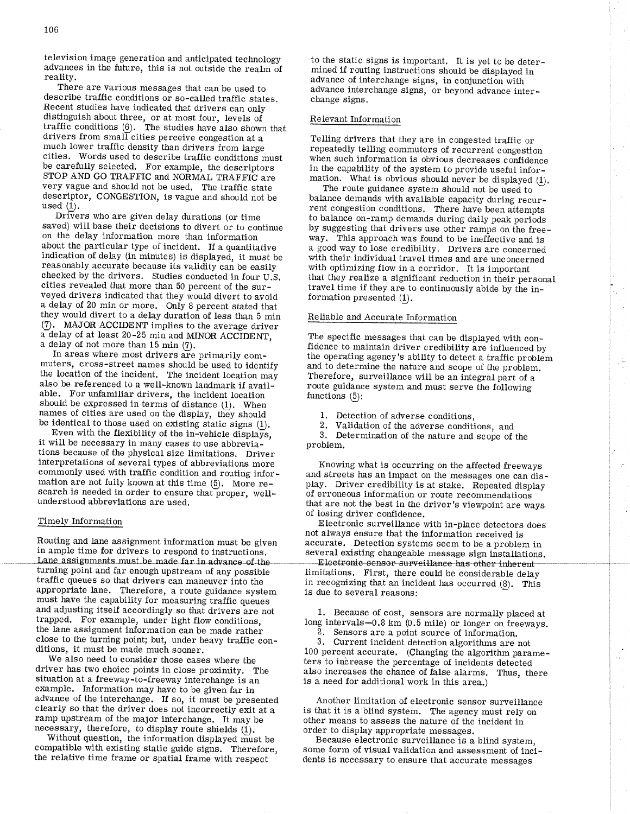television image generation and anticipated technology advances in the future, this is not outside the realm of reality.

There are various messages that can be used to describe traffic conditions or so-called traffic states. Recent studies have indicated that drivers can only distinguish about three, or at most four, levels of traffic conditions  $(6)$ . The studies have also shown that drivers from small cities perceive congestion at a much lower traffic density than drivers from large cities. Words used to describe traffic conditions must be carefully selected, For example, the descriptors STOP AND GO TRAFFIC and NORMAL TRAFFIC are very vague and should not be used. The traffic state descriptor, CONGESTION, is vague and should not be used (1).

Drivers who are given delay durations (or time saved) will base their decisions to divert or to continue on the delay information more than information about the particular type of incident. If a quantitative indication of delay (in minutes) is displayed, it must be reasonably accurate because its validity can be easily checked by the drivers. Studies conducted in four U.S. cities revealed that more than 50 percent of the surveyed drivers indicated that they would divert to avoid a delay of 20 min or more. OnIy B percent stated that they would divert to a delay duration of less than 5 min  $(7)$ . MAJOR ACCIDENT implies to the average driver a delay of at least 20-25 min and MINOR ACCIDENT, a delay of not more than 15 min (7).

In areas where most drivers are primarily commuters, cross-street names should be used to identify the location of the incident. The incident location may also be referenced to a well-known landmark if avail- able. For unfamiliar drivers, the incident location should be expressed in terms of distance  $(1)$ . When names of cities are used on the display, they should

be identical to those used on existing static signs (1).<br>Even with the flexibility of the in-vehicle displays,<br>it will be necessary in many cases to use abbrevia-<br>tions because of the physical size limitations. Driver interpretations of several types of abbreviations more commonly used with traffic condition and routing information are not fully known at this time (5). More research is needed in order to ensure that proper, wellunderstood abbreviations are used.

#### Timely Intormation

Routing and lane assignment information must be given in ample time for drivers to respond to instructions.<br>Lane assignments must be made far in advance of the turning point and far enough upstream of any possible traffic queues so that drivers can maneuver into the appropriate lane. Therefore, a route guidance system must have the capability for measuring traffic queues trapped. For example, under light flow conditions, the lane assignment information can be made rather close to the turning point; but, under heavy traffic conditions, it must be made much sooner.

We also need to consider those cases where the driver has two choice points in close proximity. The situation at a freeway-to-freeway interchange is an example. Information may have to be given far in advance of the interchange. If so, it must be presented clearly so that the driver does not incorrecily exit at a ramp upstream of the major interchange. It may be necessary, therefore, to display route shields (1).

Without question, the information displayed must be compatible with existing static guide signs. Therefore, the relative time frame or spatial frame with respect

to the static signs is important. It is yet to be determined if routing instructions should be displayed in advance of interchange signs, in conjunction with advance interchange signs, or beyond advance interchange signs.

#### Relevant Information

Telling drivers that they are in congested traffic or repeatedly telling commuters of recurrent congestion when such information is obvious decreases confidence in the capability of the system to provide useful information. What is obvious should never be displayed  $(1)$ .<br>The route guidance system should not be used to

balance demands with available capacity during recurrent congestion conditions, There have been attempts to balance on-ramp demands during daily peak periods by suggesting that drivers use other ramps on the freeway, This approach was found to be ineffective and is a good way to lose credibility, Drivers are concerned with their individual travel times and are unconcerned with optimizing flow in a corridor. It is important that they realize a significant reduction in their personal travel time if they are to continuously abide by the information presented  $(1)$ .

l-

ŀ.

 $\epsilon$  . A.

#### Reliable and Accurate Information

The specific messages that can be displayed with confidence to maintain driver credibility are influenced by the operating agency's ability to detect a traffic problem and to determine the nature and scope of the problem. Therefore, surveillance will be an integral part of a route guidance system and must serve the following functions  $(5)$ :

1. Detection of adverse conditions,

2. Validation of the adverse conditions, and 3. Determination of the nature and scope of the problem.

Knowing what is occurring on the affected freeways<br>and streets has an impact on the messages one can display. Driver credibility is at stake. Repeated display of erroneous information or route recommendations that are not the best in the driver's viewpoint are ways of losing driver confidence.

Electronic surveillance with in-place detectors does not always ensure that the information received is accurate. Detection systems seem to be a problem in several existing changeable message sign installations. Iimitations. First, there could be considerable delay in recognizing that an incident has occurred  $(8)$ . This is due to several reasons:

1. Because of cost, sensors are normally placed at long intervals-0.8 km (0.5 mile) or longer on freeways. 2. Sensors are a point source of information. 3. Current incident detection algorithms are not

100 percent accurate. (Changing the algorithm parameters to increase the percentage of incidents detected also increases the chance of false alarms. Thus, there is a need for additional work in this area.)

Another limitation of electronic sensor surveillance is that it is a blind system. The agency must rely on other means to assess the nature of the incident in order to display appropriate messages.

Because electronic surveillance is a blind system, some form of visual validation and assessment of incidents is necessary to ensure that accurate messages